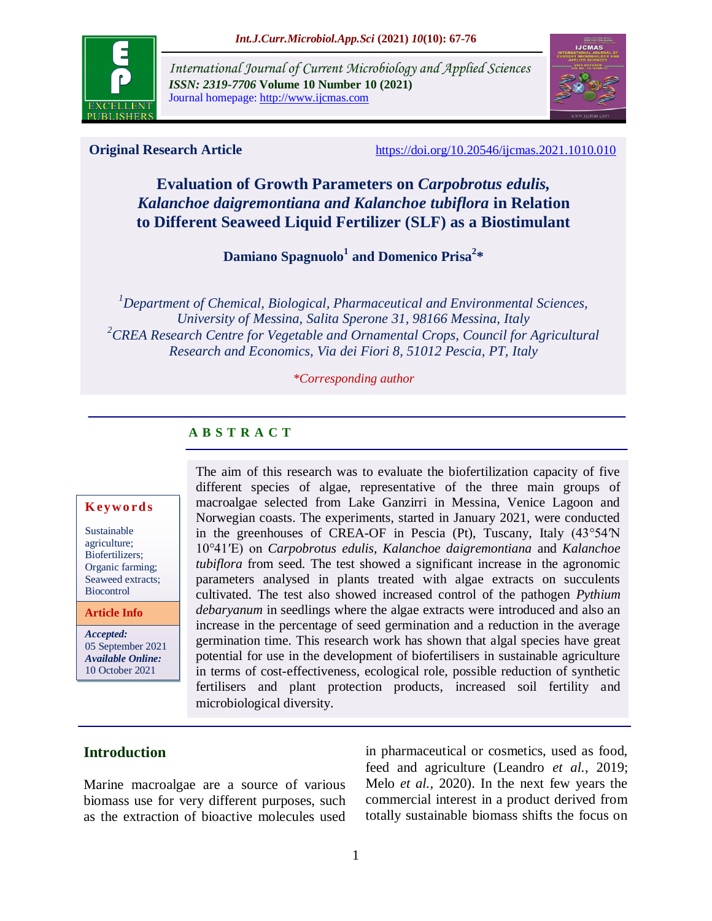

*International Journal of Current Microbiology and Applied Sciences ISSN: 2319-7706* **Volume 10 Number 10 (2021)**  Journal homepage: http://www.ijcmas.com



**Original Research Article** <https://doi.org/10.20546/ijcmas.2021.1010.010>

# **Evaluation of Growth Parameters on** *Carpobrotus edulis, Kalanchoe daigremontiana and Kalanchoe tubiflora* **in Relation to Different Seaweed Liquid Fertilizer (SLF) as a Biostimulant**

**Damiano Spagnuolo<sup>1</sup> and Domenico Prisa<sup>2</sup> \***

*<sup>1</sup>Department of Chemical, Biological, Pharmaceutical and Environmental Sciences, University of Messina, Salita Sperone 31, 98166 Messina, Italy <sup>2</sup>CREA Research Centre for Vegetable and Ornamental Crops, Council for Agricultural Research and Economics, Via dei Fiori 8, 51012 Pescia, PT, Italy*

#### *\*Corresponding author*

## **A B S T R A C T**

#### **K ey w o rd s**

Sustainable agriculture; Biofertilizers; Organic farming; Seaweed extracts; **Biocontrol** 

### **Article Info**

*Accepted:*  05 September 2021 *Available Online:* 10 October 2021

The aim of this research was to evaluate the biofertilization capacity of five different species of algae, representative of the three main groups of macroalgae selected from Lake Ganzirri in Messina, Venice Lagoon and Norwegian coasts. The experiments, started in January 2021, were conducted in the greenhouses of CREA-OF in Pescia (Pt), Tuscany, Italy (43°54′N 10°41′E) on *Carpobrotus edulis, Kalanchoe daigremontiana* and *Kalanchoe tubiflora* from seed*.* The test showed a significant increase in the agronomic parameters analysed in plants treated with algae extracts on succulents cultivated. The test also showed increased control of the pathogen *Pythium debaryanum* in seedlings where the algae extracts were introduced and also an increase in the percentage of seed germination and a reduction in the average germination time. This research work has shown that algal species have great potential for use in the development of biofertilisers in sustainable agriculture in terms of cost-effectiveness, ecological role, possible reduction of synthetic fertilisers and plant protection products, increased soil fertility and microbiological diversity.

## **Introduction**

Marine macroalgae are a source of various biomass use for very different purposes, such as the extraction of bioactive molecules used

in pharmaceutical or cosmetics, used as food, feed and agriculture (Leandro *et al.,* 2019; Melo *et al.,* 2020). In the next few years the commercial interest in a product derived from totally sustainable biomass shifts the focus on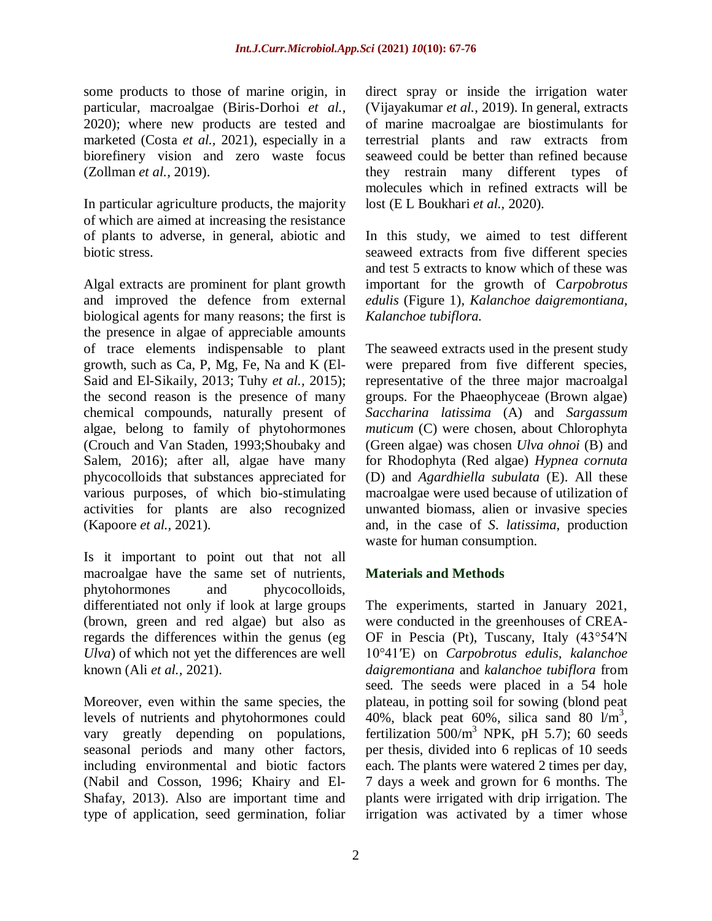some products to those of marine origin, in particular, macroalgae (Biris-Dorhoi *et al.,* 2020); where new products are tested and marketed (Costa *et al.,* 2021), especially in a biorefinery vision and zero waste focus (Zollman *et al.,* 2019).

In particular agriculture products, the majority of which are aimed at increasing the resistance of plants to adverse, in general, abiotic and biotic stress.

Algal extracts are prominent for plant growth and improved the defence from external biological agents for many reasons; the first is the presence in algae of appreciable amounts of trace elements indispensable to plant growth, such as Ca, P, Mg, Fe, Na and K (El-Said and El-Sikaily, 2013; Tuhy *et al.,* 2015); the second reason is the presence of many chemical compounds, naturally present of algae, belong to family of phytohormones (Crouch and Van Staden, 1993;Shoubaky and Salem, 2016); after all, algae have many phycocolloids that substances appreciated for various purposes, of which bio-stimulating activities for plants are also recognized (Kapoore *et al.,* 2021).

Is it important to point out that not all macroalgae have the same set of nutrients, phytohormones and phycocolloids, differentiated not only if look at large groups (brown, green and red algae) but also as regards the differences within the genus (eg *Ulva*) of which not yet the differences are well known (Ali *et al.,* 2021).

Moreover, even within the same species, the levels of nutrients and phytohormones could vary greatly depending on populations, seasonal periods and many other factors, including environmental and biotic factors (Nabil and Cosson, 1996; Khairy and El-Shafay, 2013). Also are important time and type of application, seed germination, foliar

direct spray or inside the irrigation water (Vijayakumar *et al.,* 2019). In general, extracts of marine macroalgae are biostimulants for terrestrial plants and raw extracts from seaweed could be better than refined because they restrain many different types of molecules which in refined extracts will be lost (E L Boukhari *et al.,* 2020).

In this study, we aimed to test different seaweed extracts from five different species and test 5 extracts to know which of these was important for the growth of C*arpobrotus edulis* (Figure 1)*, Kalanchoe daigremontiana, Kalanchoe tubiflora.*

The seaweed extracts used in the present study were prepared from five different species, representative of the three major macroalgal groups. For the Phaeophyceae (Brown algae) *Saccharina latissima* (A) and *Sargassum muticum* (C) were chosen, about Chlorophyta (Green algae) was chosen *Ulva ohnoi* (B) and for Rhodophyta (Red algae) *Hypnea cornuta*  (D) and *Agardhiella subulata* (E). All these macroalgae were used because of utilization of unwanted biomass, alien or invasive species and, in the case of *S*. *latissima*, production waste for human consumption.

## **Materials and Methods**

The experiments, started in January 2021, were conducted in the greenhouses of CREA-OF in Pescia (Pt), Tuscany, Italy (43°54′N 10°41′E) on *Carpobrotus edulis, kalanchoe daigremontiana* and *kalanchoe tubiflora* from seed*.* The seeds were placed in a 54 hole plateau, in potting soil for sowing (blond peat 40%, black peat 60%, silica sand 80  $\text{Im}^3$ , fertilization  $500/m^3$  NPK, pH 5.7); 60 seeds per thesis, divided into 6 replicas of 10 seeds each. The plants were watered 2 times per day, 7 days a week and grown for 6 months. The plants were irrigated with drip irrigation. The irrigation was activated by a timer whose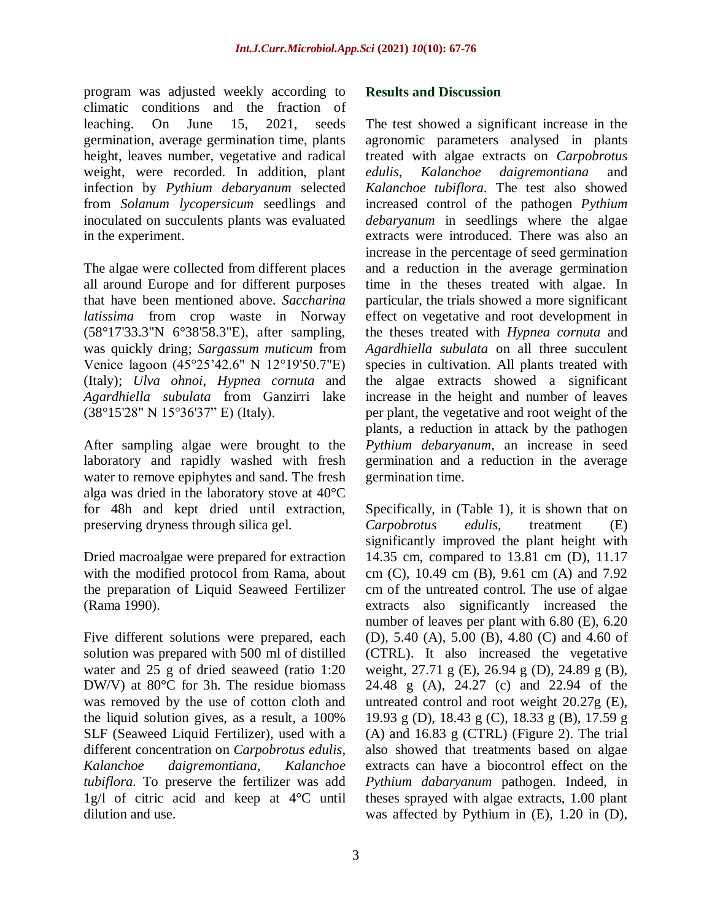program was adjusted weekly according to climatic conditions and the fraction of leaching. On June 15, 2021, seeds germination, average germination time, plants height, leaves number, vegetative and radical weight, were recorded. In addition, plant infection by *Pythium debaryanum* selected from *Solanum lycopersicum* seedlings and inoculated on succulents plants was evaluated in the experiment.

The algae were collected from different places all around Europe and for different purposes that have been mentioned above. *Saccharina latissima* from crop waste in Norway (58°17'33.3"N 6°38'58.3"E), after sampling, was quickly dring; *Sargassum muticum* from Venice lagoon (45°25'42.6" N 12°19'50.7"E) (Italy); *Ulva ohnoi*, *Hypnea cornuta* and *Agardhiella subulata* from Ganzirri lake (38°15'28" N 15°36'37" E) (Italy).

After sampling algae were brought to the laboratory and rapidly washed with fresh water to remove epiphytes and sand. The fresh alga was dried in the laboratory stove at 40°C for 48h and kept dried until extraction, preserving dryness through silica gel.

Dried macroalgae were prepared for extraction with the modified protocol from Rama, about the preparation of Liquid Seaweed Fertilizer (Rama 1990).

Five different solutions were prepared, each solution was prepared with 500 ml of distilled water and 25 g of dried seaweed (ratio 1:20 DW/V) at 80°C for 3h. The residue biomass was removed by the use of cotton cloth and the liquid solution gives, as a result, a 100% SLF (Seaweed Liquid Fertilizer), used with a different concentration on *Carpobrotus edulis*, *Kalanchoe daigremontiana, Kalanchoe tubiflora*. To preserve the fertilizer was add 1g/l of citric acid and keep at 4°C until dilution and use.

## **Results and Discussion**

The test showed a significant increase in the agronomic parameters analysed in plants treated with algae extracts on *Carpobrotus edulis*, *Kalanchoe daigremontiana* and *Kalanchoe tubiflora*. The test also showed increased control of the pathogen *Pythium debaryanum* in seedlings where the algae extracts were introduced. There was also an increase in the percentage of seed germination and a reduction in the average germination time in the theses treated with algae. In particular, the trials showed a more significant effect on vegetative and root development in the theses treated with *Hypnea cornuta* and *Agardhiella subulata* on all three succulent species in cultivation. All plants treated with the algae extracts showed a significant increase in the height and number of leaves per plant, the vegetative and root weight of the plants, a reduction in attack by the pathogen *Pythium debaryanum*, an increase in seed germination and a reduction in the average germination time.

Specifically, in (Table 1), it is shown that on *Carpobrotus edulis*, treatment (E) significantly improved the plant height with 14.35 cm, compared to 13.81 cm (D), 11.17 cm (C), 10.49 cm (B), 9.61 cm (A) and 7.92 cm of the untreated control. The use of algae extracts also significantly increased the number of leaves per plant with 6.80 (E), 6.20 (D), 5.40 (A), 5.00 (B), 4.80 (C) and 4.60 of (CTRL). It also increased the vegetative weight, 27.71 g (E), 26.94 g (D), 24.89 g (B), 24.48 g (A), 24.27 (c) and 22.94 of the untreated control and root weight 20.27g (E), 19.93 g (D), 18.43 g (C), 18.33 g (B), 17.59 g (A) and 16.83 g (CTRL) (Figure 2). The trial also showed that treatments based on algae extracts can have a biocontrol effect on the *Pythium dabaryanum* pathogen. Indeed, in theses sprayed with algae extracts, 1.00 plant was affected by Pythium in (E), 1.20 in (D),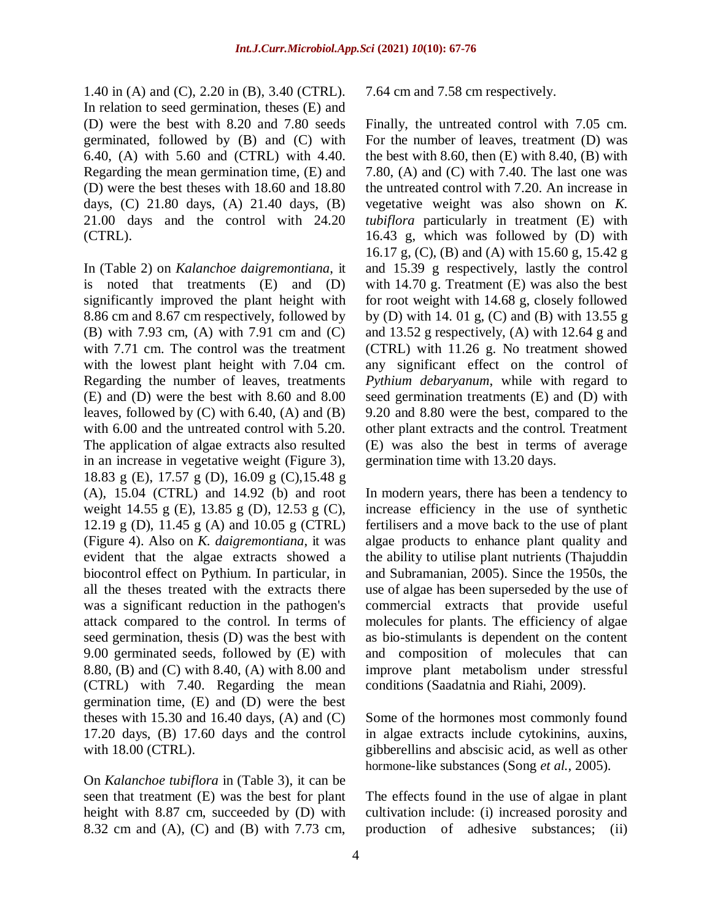1.40 in (A) and (C), 2.20 in (B), 3.40 (CTRL). In relation to seed germination, theses (E) and (D) were the best with 8.20 and 7.80 seeds germinated, followed by (B) and (C) with 6.40, (A) with 5.60 and (CTRL) with 4.40. Regarding the mean germination time, (E) and (D) were the best theses with 18.60 and 18.80 days, (C) 21.80 days, (A) 21.40 days, (B) 21.00 days and the control with 24.20 (CTRL).

In (Table 2) on *Kalanchoe daigremontiana*, it is noted that treatments (E) and (D) significantly improved the plant height with 8.86 cm and 8.67 cm respectively, followed by (B) with 7.93 cm, (A) with 7.91 cm and (C) with 7.71 cm. The control was the treatment with the lowest plant height with 7.04 cm. Regarding the number of leaves, treatments (E) and (D) were the best with 8.60 and 8.00 leaves, followed by (C) with 6.40, (A) and (B) with 6.00 and the untreated control with 5.20. The application of algae extracts also resulted in an increase in vegetative weight (Figure 3), 18.83 g (E), 17.57 g (D), 16.09 g (C),15.48 g (A), 15.04 (CTRL) and 14.92 (b) and root weight 14.55 g (E), 13.85 g (D), 12.53 g (C), 12.19 g (D), 11.45 g (A) and 10.05 g (CTRL) (Figure 4). Also on *K. daigremontiana*, it was evident that the algae extracts showed a biocontrol effect on Pythium. In particular, in all the theses treated with the extracts there was a significant reduction in the pathogen's attack compared to the control. In terms of seed germination, thesis (D) was the best with 9.00 germinated seeds, followed by (E) with 8.80, (B) and (C) with 8.40, (A) with 8.00 and (CTRL) with 7.40. Regarding the mean germination time, (E) and (D) were the best theses with  $15.30$  and  $16.40$  days,  $(A)$  and  $(C)$ 17.20 days, (B) 17.60 days and the control with 18.00 (CTRL).

On *Kalanchoe tubiflora* in (Table 3), it can be seen that treatment (E) was the best for plant height with 8.87 cm, succeeded by (D) with 8.32 cm and (A), (C) and (B) with 7.73 cm,

#### 7.64 cm and 7.58 cm respectively.

Finally, the untreated control with 7.05 cm. For the number of leaves, treatment (D) was the best with 8.60, then  $(E)$  with 8.40,  $(B)$  with 7.80, (A) and (C) with 7.40. The last one was the untreated control with 7.20. An increase in vegetative weight was also shown on *K. tubiflora* particularly in treatment (E) with 16.43 g, which was followed by (D) with 16.17 g, (C), (B) and (A) with 15.60 g, 15.42 g and 15.39 g respectively, lastly the control with 14.70 g. Treatment (E) was also the best for root weight with 14.68 g, closely followed by (D) with 14. 01 g, (C) and (B) with 13.55 g and 13.52 g respectively, (A) with 12.64 g and (CTRL) with 11.26 g. No treatment showed any significant effect on the control of *Pythium debaryanum*, while with regard to seed germination treatments (E) and (D) with 9.20 and 8.80 were the best, compared to the other plant extracts and the control. Treatment (E) was also the best in terms of average germination time with 13.20 days.

In modern years, there has been a tendency to increase efficiency in the use of synthetic fertilisers and a move back to the use of plant algae products to enhance plant quality and the ability to utilise plant nutrients (Thajuddin and Subramanian, 2005). Since the 1950s, the use of algae has been superseded by the use of commercial extracts that provide useful molecules for plants. The efficiency of algae as bio-stimulants is dependent on the content and composition of molecules that can improve plant metabolism under stressful conditions (Saadatnia and Riahi, 2009).

Some of the hormones most commonly found in algae extracts include cytokinins, auxins, gibberellins and abscisic acid, as well as other hormone-like substances (Song *et al.,* 2005).

The effects found in the use of algae in plant cultivation include: (i) increased porosity and production of adhesive substances; (ii)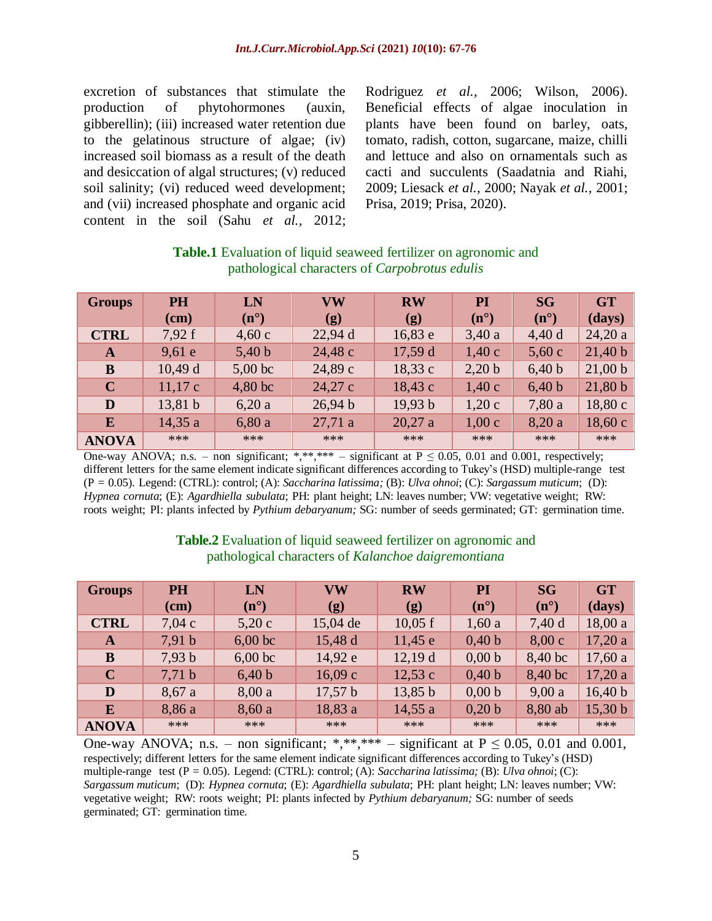excretion of substances that stimulate the production of phytohormones (auxin, gibberellin); (iii) increased water retention due to the gelatinous structure of algae; (iv) increased soil biomass as a result of the death and desiccation of algal structures; (v) reduced soil salinity; (vi) reduced weed development; and (vii) increased phosphate and organic acid content in the soil (Sahu *et al.,* 2012;

Rodriguez *et al.,* 2006; Wilson, 2006). Beneficial effects of algae inoculation in plants have been found on barley, oats, tomato, radish, cotton, sugarcane, maize, chilli and lettuce and also on ornamentals such as cacti and succulents (Saadatnia and Riahi, 2009; Liesack *et al.,* 2000; Nayak *et al.,* 2001; Prisa, 2019; Prisa, 2020).

| <b>Groups</b> | <b>PH</b> | LN            | <b>VW</b>                  | <b>RW</b> | PI            | <b>SG</b>     | <b>GT</b> |
|---------------|-----------|---------------|----------------------------|-----------|---------------|---------------|-----------|
|               | $(cm)$    | $(n^{\circ})$ | $\left( \mathbf{g}\right)$ | (g)       | $(n^{\circ})$ | $(n^{\circ})$ | (days)    |
| <b>CTRL</b>   | 7,92f     | 4,60c         | 22,94 d                    | 16,83 e   | 3,40a         | 4,40d         | 24,20a    |
| A             | 9,61e     | 5,40 b        | 24,48 c                    | 17,59 d   | 1,40c         | 5,60c         | 21,40 b   |
| B             | 10,49d    | $5,00$ bc     | 24,89 с                    | 18,33c    | 2,20 b        | 6,40 b        | 21,00 b   |
| $\mathbf C$   | 11,17c    | $4,80$ bc     | 24,27 c                    | 18,43c    | 1,40c         | 6,40 b        | 21,80 b   |
| D             | 13,81 b   | 6,20a         | 26,94 b                    | 19,93 b   | 1,20c         | 7,80 a        | 18,80c    |
| E             | 14,35a    | 6,80a         | 27,71 a                    | 20,27a    | 1,00c         | 8,20a         | 18,60c    |
| <b>ANOVA</b>  | ***       | ***           | $***$                      | ***       | ***           | ***           | ***       |

## **Table.1** Evaluation of liquid seaweed fertilizer on agronomic and pathological characters of *Carpobrotus edulis*

One-way ANOVA; n.s. – non significant; \*,\*\*,\*\*\* – significant at  $P \le 0.05$ , 0.01 and 0.001, respectively; different letters for the same element indicate significant differences according to Tukey's (HSD) multiple-range test (P = 0.05). Legend: (CTRL): control; (A): *Saccharina latissima;* (B): *Ulva ohnoi*; (C): *Sargassum muticum*; (D): *Hypnea cornuta*; (E): *Agardhiella subulata*; PH: plant height; LN: leaves number; VW: vegetative weight; RW: roots weight; PI: plants infected by *Pythium debaryanum;* SG: number of seeds germinated; GT: germination time.

## **Table.2** Evaluation of liquid seaweed fertilizer on agronomic and pathological characters of *Kalanchoe daigremontiana*

| <b>Groups</b> | <b>PH</b>         | LN            | <b>VW</b>                  | <b>RW</b> | PI            | <b>SG</b>     | <b>GT</b> |
|---------------|-------------------|---------------|----------------------------|-----------|---------------|---------------|-----------|
|               | $(cm)$            | $(n^{\circ})$ | $\left( \mathbf{g}\right)$ | (g)       | $(n^{\circ})$ | $(n^{\circ})$ | (days)    |
| <b>CTRL</b>   | 7,04c             | 5,20c         | $15,04$ de                 | $10,05$ f | 1,60a         | 7,40 d        | 18,00a    |
| A             | 7,91 b            | $6,00$ bc     | 15,48 d                    | 11,45e    | 0,40 b        | 8,00c         | 17,20a    |
| B             | 7,93 b            | $6,00$ bc     | 14,92 e                    | 12,19d    | 0,00 b        | 8,40 bc       | 17,60a    |
| $\mathbf C$   | 7,71 <sub>b</sub> | 6,40 b        | 16,09c                     | 12,53c    | 0,40 b        | 8,40 bc       | 17,20a    |
| D             | 8,67a             | 8,00a         | 17,57 b                    | 13,85 b   | 0,00 b        | 9,00a         | 16,40 b   |
| E             | 8,86 a            | 8,60a         | 18,83 a                    | 14,55a    | 0,20 b        | 8,80 ab       | 15,30 b   |
| <b>ANOVA</b>  | ***               | ***           | ***                        | ***       | ***           | ***           | $***$     |

One-way ANOVA; n.s. – non significant; \*,\*\*,\*\*\* – significant at  $P \le 0.05$ , 0.01 and 0.001, respectively; different letters for the same element indicate significant differences according to Tukey's (HSD) multiple-range test (P = 0.05). Legend: (CTRL): control; (A): *Saccharina latissima;* (B): *Ulva ohnoi*; (C): *Sargassum muticum*; (D): *Hypnea cornuta*; (E): *Agardhiella subulata*; PH: plant height; LN: leaves number; VW: vegetative weight; RW: roots weight; PI: plants infected by *Pythium debaryanum;* SG: number of seeds germinated; GT: germination time.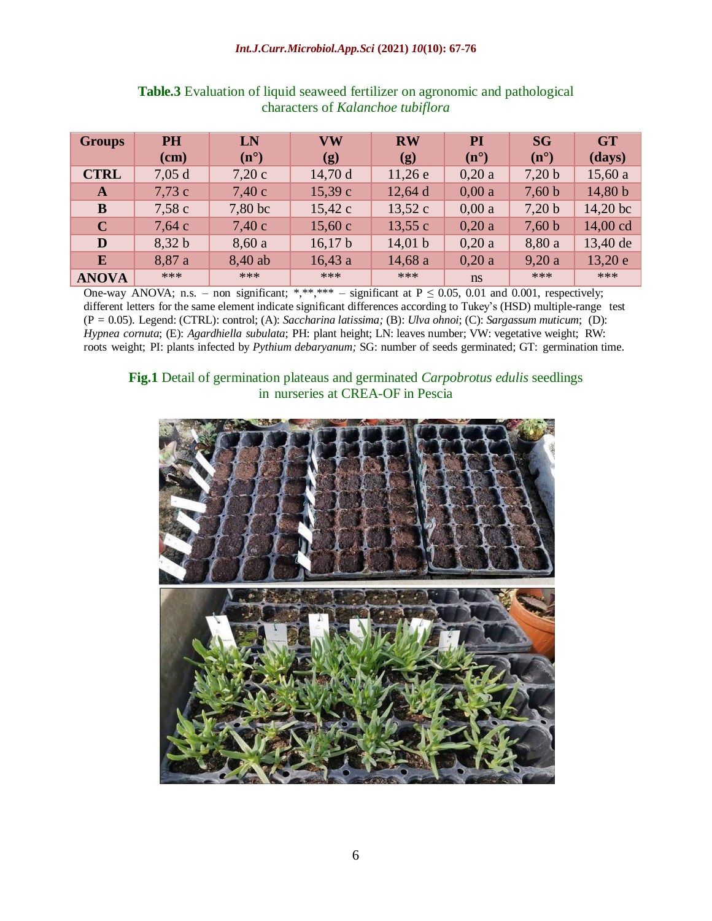#### *Int.J.Curr.Microbiol.App.Sci* **(2021)** *10***(10): 67-76**

| <b>Groups</b> | <b>PH</b> | LN            | $\mathbf{V}\mathbf{W}$      | <b>RW</b>                  | PI            | <b>SG</b>     | <b>GT</b>             |
|---------------|-----------|---------------|-----------------------------|----------------------------|---------------|---------------|-----------------------|
|               | $cm$ )    | $(n^{\circ})$ | $\left( \mathbf{g} \right)$ | $\left( \mathbf{g}\right)$ | $(n^{\circ})$ | $(n^{\circ})$ | (days)                |
| <b>CTRL</b>   | 7,05d     | 7,20c         | 14,70d                      | 11,26e                     | 0,20a         | 7,20 b        | 15,60a                |
| A             | 7,73c     | 7,40c         | 15,39c                      | 12,64 d                    | 0,00a         | 7,60 b        | 14,80 b               |
| B             | 7,58c     | 7,80 bc       | 15,42 c                     | 13,52c                     | 0,00a         | 7,20 b        | $14,20 \,\mathrm{bc}$ |
| $\mathbf C$   | 7,64c     | 7,40c         | 15,60c                      | 13,55c                     | 0,20a         | 7,60 b        | 14,00 cd              |
| D             | 8,32 b    | 8,60a         | 16,17 b                     | 14,01 b                    | 0,20a         | 8,80 a        | 13,40 de              |
| E             | 8,87 a    | 8,40 ab       | 16,43a                      | 14,68 a                    | 0,20a         | 9,20a         | 13,20e                |
| <b>ANOVA</b>  | ***       | $***$         | ***                         | ***                        | ns            | ***           | $***$                 |

## **Table.3** Evaluation of liquid seaweed fertilizer on agronomic and pathological characters of *Kalanchoe tubiflora*

One-way ANOVA; n.s. – non significant; \*,\*\*,\*\*\* – significant at  $P \le 0.05$ , 0.01 and 0.001, respectively; different letters for the same element indicate significant differences according to Tukey's (HSD) multiple-range test (P = 0.05). Legend: (CTRL): control; (A): *Saccharina latissima;* (B): *Ulva ohnoi*; (C): *Sargassum muticum*; (D): *Hypnea cornuta*; (E): *Agardhiella subulata*; PH: plant height; LN: leaves number; VW: vegetative weight; RW: roots weight; PI: plants infected by *Pythium debaryanum;* SG: number of seeds germinated; GT: germination time.

## **Fig.1** Detail of germination plateaus and germinated *Carpobrotus edulis* seedlings in nurseries at CREA-OF in Pescia

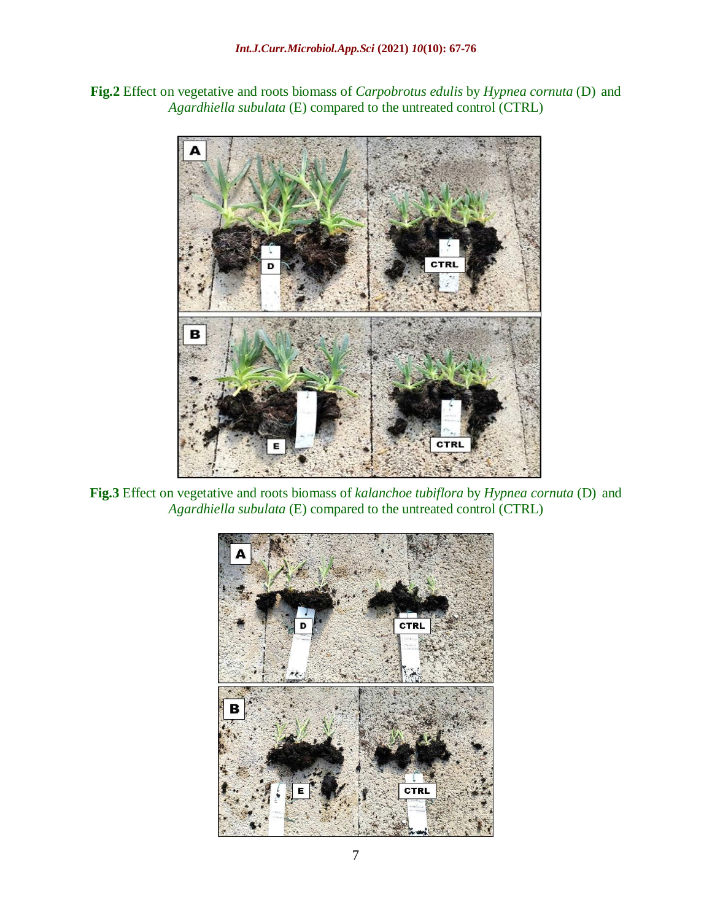**Fig.2** Effect on vegetative and roots biomass of *Carpobrotus edulis* by *Hypnea cornuta* (D) and *Agardhiella subulata* (E) compared to the untreated control (CTRL)



**Fig.3** Effect on vegetative and roots biomass of *kalanchoe tubiflora* by *Hypnea cornuta* (D) and *Agardhiella subulata* (E) compared to the untreated control (CTRL)

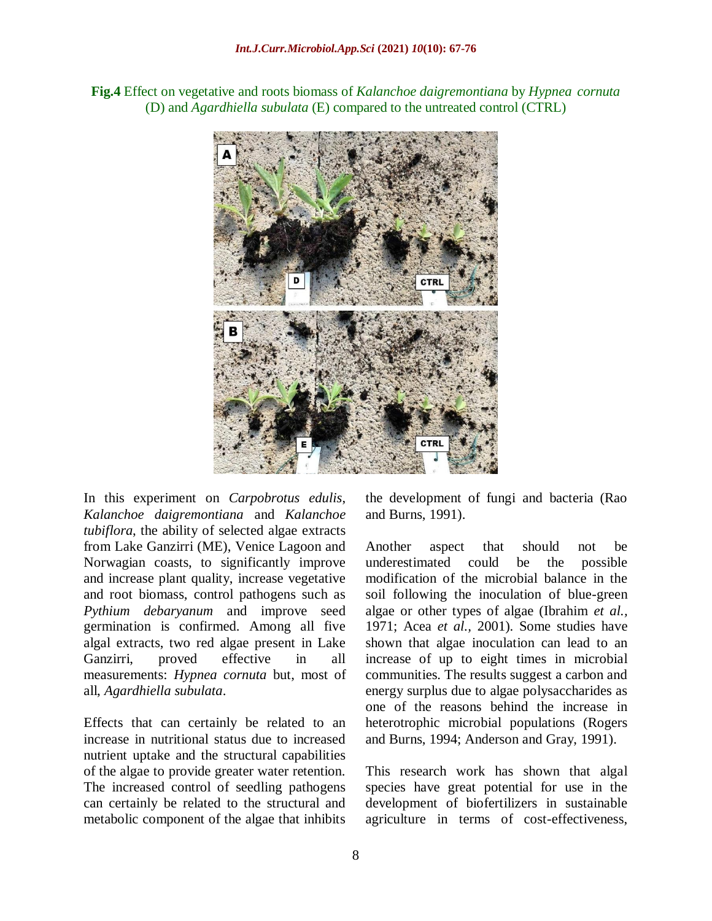**Fig.4** Effect on vegetative and roots biomass of *Kalanchoe daigremontiana* by *Hypnea cornuta*  (D) and *Agardhiella subulata* (E) compared to the untreated control (CTRL)



In this experiment on *Carpobrotus edulis*, *Kalanchoe daigremontiana* and *Kalanchoe tubiflora*, the ability of selected algae extracts from Lake Ganzirri (ME), Venice Lagoon and Norwagian coasts, to significantly improve and increase plant quality, increase vegetative and root biomass, control pathogens such as *Pythium debaryanum* and improve seed germination is confirmed. Among all five algal extracts, two red algae present in Lake Ganzirri, proved effective in all measurements: *Hypnea cornuta* but, most of all, *Agardhiella subulata*.

Effects that can certainly be related to an increase in nutritional status due to increased nutrient uptake and the structural capabilities of the algae to provide greater water retention. The increased control of seedling pathogens can certainly be related to the structural and metabolic component of the algae that inhibits

the development of fungi and bacteria (Rao and Burns, 1991).

Another aspect that should not be underestimated could be the possible modification of the microbial balance in the soil following the inoculation of blue-green algae or other types of algae (Ibrahim *et al.,*  1971; Acea *et al.,* 2001). Some studies have shown that algae inoculation can lead to an increase of up to eight times in microbial communities. The results suggest a carbon and energy surplus due to algae polysaccharides as one of the reasons behind the increase in heterotrophic microbial populations (Rogers and Burns, 1994; Anderson and Gray, 1991).

This research work has shown that algal species have great potential for use in the development of biofertilizers in sustainable agriculture in terms of cost-effectiveness,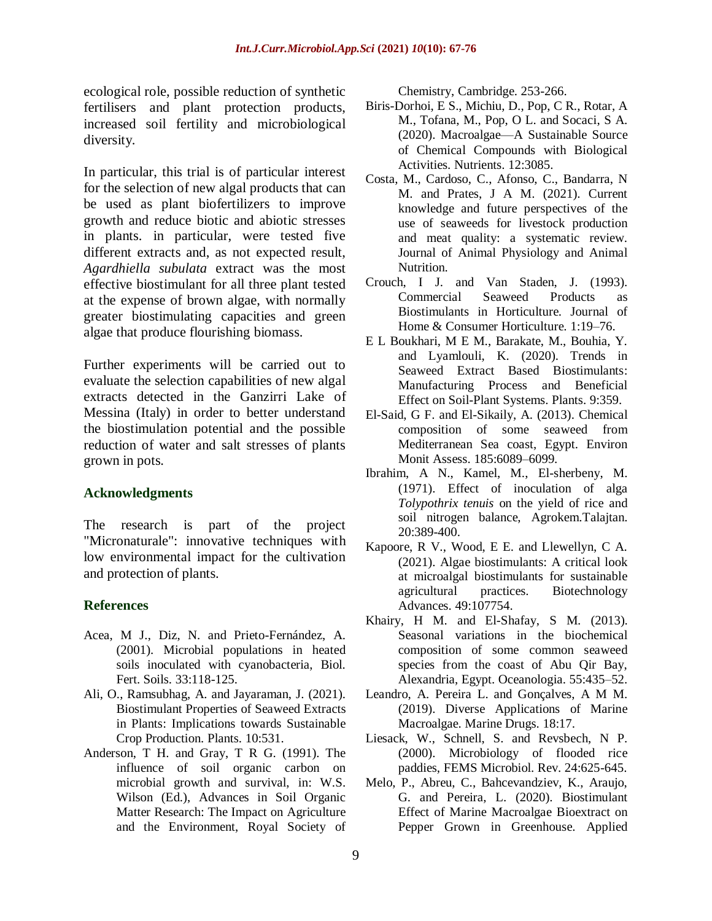ecological role, possible reduction of synthetic fertilisers and plant protection products, increased soil fertility and microbiological diversity.

In particular, this trial is of particular interest for the selection of new algal products that can be used as plant biofertilizers to improve growth and reduce biotic and abiotic stresses in plants. in particular, were tested five different extracts and, as not expected result, *Agardhiella subulata* extract was the most effective biostimulant for all three plant tested at the expense of brown algae, with normally greater biostimulating capacities and green algae that produce flourishing biomass.

Further experiments will be carried out to evaluate the selection capabilities of new algal extracts detected in the Ganzirri Lake of Messina (Italy) in order to better understand the biostimulation potential and the possible reduction of water and salt stresses of plants grown in pots.

## **Acknowledgments**

The research is part of the project "Micronaturale": innovative techniques with low environmental impact for the cultivation and protection of plants.

## **References**

- Acea, M J., Diz, N. and Prieto-Fernández, A. (2001). Microbial populations in heated soils inoculated with cyanobacteria, Biol. Fert. Soils. 33:118-125.
- Ali, O., Ramsubhag, A. and Jayaraman, J. (2021). Biostimulant Properties of Seaweed Extracts in Plants: Implications towards Sustainable Crop Production. Plants. 10:531.
- Anderson, T H. and Gray, T R G. (1991). The influence of soil organic carbon on microbial growth and survival, in: W.S. Wilson (Ed.), Advances in Soil Organic Matter Research: The Impact on Agriculture and the Environment, Royal Society of

Chemistry, Cambridge. 253-266.

- Biris-Dorhoi, E S., Michiu, D., Pop, C R., Rotar, A M., Tofana, M., Pop, O L. and Socaci, S A. (2020). Macroalgae—A Sustainable Source of Chemical Compounds with Biological Activities. Nutrients. 12:3085.
- Costa, M., Cardoso, C., Afonso, C., Bandarra, N M. and Prates, J A M. (2021). Current knowledge and future perspectives of the use of seaweeds for livestock production and meat quality: a systematic review. Journal of Animal Physiology and Animal Nutrition.
- Crouch, I J. and Van Staden, J. (1993). Commercial Seaweed Products as Biostimulants in Horticulture. Journal of Home & Consumer Horticulture. 1:19–76.
- E L Boukhari, M E M., Barakate, M., Bouhia, Y. and Lyamlouli, K. (2020). Trends in Seaweed Extract Based Biostimulants: Manufacturing Process and Beneficial Effect on Soil-Plant Systems. Plants. 9:359.
- El-Said, G F. and El-Sikaily, A. (2013). Chemical composition of some seaweed from Mediterranean Sea coast, Egypt. Environ Monit Assess. 185:6089–6099.
- Ibrahim, A N., Kamel, M., El-sherbeny, M. (1971). Effect of inoculation of alga *Tolypothrix tenuis* on the yield of rice and soil nitrogen balance, Agrokem.Talajtan. 20:389-400.
- Kapoore, R V., Wood, E E. and Llewellyn, C A. (2021). Algae biostimulants: A critical look at microalgal biostimulants for sustainable agricultural practices. Biotechnology Advances. 49:107754.
- Khairy, H M. and El-Shafay, S M. (2013). Seasonal variations in the biochemical composition of some common seaweed species from the coast of Abu Qir Bay, Alexandria, Egypt. Oceanologia. 55:435–52.
- Leandro, A. Pereira L. and Gonçalves, A M M. (2019). Diverse Applications of Marine Macroalgae. Marine Drugs. 18:17.
- Liesack, W., Schnell, S. and Revsbech, N P. (2000). Microbiology of flooded rice paddies, FEMS Microbiol. Rev. 24:625-645.
- Melo, P., Abreu, C., Bahcevandziev, K., Araujo, G. and Pereira, L. (2020). Biostimulant Effect of Marine Macroalgae Bioextract on Pepper Grown in Greenhouse. Applied